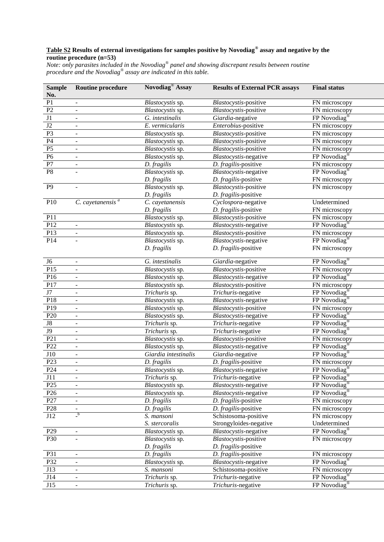## **Table S2 Results of external investigations for samples positive by Novodiag® assay and negative by the routine procedure (n=53)**

*Note: only parasites included in the Novodiag® panel and showing discrepant results between routine procedure and the Novodiag® assay are indicated in this table.*

| <b>Sample</b><br>No. | <b>Routine procedure</b> | Novodiag <sup>®</sup> Assay | <b>Results of External PCR assays</b> | <b>Final status</b>                                               |
|----------------------|--------------------------|-----------------------------|---------------------------------------|-------------------------------------------------------------------|
| P <sub>1</sub>       |                          | Blastocystis sp.            | Blastocystis-positive                 | FN microscopy                                                     |
| P2                   |                          | Blastocystis sp.            | Blastocystis-positive                 | FN microscopy                                                     |
| J1                   |                          | G. intestinalis             | Giardia-negative                      | $FP$ Novodiag®                                                    |
| $\overline{J2}$      |                          | E. vermicularis             | Enterobius-positive                   | FN microscopy                                                     |
| P <sub>3</sub>       |                          | Blastocystis sp.            | Blastocystis-positive                 | FN microscopy                                                     |
| P <sub>4</sub>       |                          | Blastocystis sp.            | Blastocystis-positive                 | FN microscopy                                                     |
| P <sub>5</sub>       |                          | Blastocystis sp.            | Blastocystis-positive                 | FN microscopy                                                     |
| P <sub>6</sub>       |                          | Blastocystis sp.            | Blastocystis-negative                 | $FP$ Novodiag <sup>®</sup>                                        |
| P7                   |                          | D. fragilis                 | D. fragilis-positive                  | FN microscopy                                                     |
| P <sub>8</sub>       |                          | Blastocystis sp.            | Blastocystis-negative                 | FP Novodiag <sup>®</sup>                                          |
|                      |                          | D. fragilis                 | D. fragilis-positive                  | FN microscopy                                                     |
| $\overline{P9}$      |                          | Blastocystis sp.            | Blastocystis-positive                 | FN microscopy                                                     |
|                      |                          | D. fragilis                 | D. fragilis-positive                  |                                                                   |
| P10                  | $C.$ cayetanensis $a$    | C. cayetanensis             | Cyclospora-negative                   | Undetermined                                                      |
|                      |                          | D. fragilis                 | D. fragilis-positive                  | FN microscopy                                                     |
| P11                  |                          | Blastocystis sp.            | Blastocystis-positive                 | FN microscopy                                                     |
| P12                  |                          | Blastocystis sp.            | Blastocystis-negative                 | FP Novodiag <sup>®</sup>                                          |
| P13                  |                          | Blastocystis sp.            | Blastocystis-positive                 | FN microscopy                                                     |
| P14                  |                          | Blastocystis sp.            | Blastocystis-negative                 | FP Novodiag <sup>®</sup>                                          |
|                      |                          | D. fragilis                 | D. fragilis-positive                  | FN microscopy                                                     |
| J <sub>6</sub>       |                          | G. intestinalis             | Giardia-negative                      | FP Novodiag <sup>®</sup>                                          |
| P15                  |                          | Blastocystis sp.            | Blastocystis-positive                 | FN microscopy                                                     |
| P16                  |                          | Blastocystis sp.            | Blastocystis-negative                 | $FP$ Novodiag <sup>®</sup>                                        |
| P17                  |                          | Blastocystis sp.            | Blastocystis-positive                 | FN microscopy                                                     |
| J7                   |                          | Trichuris sp.               | Trichuris-negative                    | $\overline{\text{FP Novoidag}}^{\textcircled{\tiny{\textsf{R}}}}$ |
| P18                  |                          | Blastocystis sp.            | Blastocystis-negative                 | FP Novodiag <sup>®</sup>                                          |
| P <sub>19</sub>      |                          | Blastocystis sp.            | Blastocystis-positive                 | FN microscopy                                                     |
| P <sub>20</sub>      |                          | Blastocystis sp.            | Blastocystis-negative                 | FP Novodiag®                                                      |
| ${\bf J8}$           | $\overline{a}$           | Trichuris sp.               | Trichuris-negative                    | FP Novodiag®                                                      |
| $\overline{J9}$      | $\overline{a}$           | Trichuris sp.               | Trichuris-negative                    | FP Novodiag <sup>®</sup>                                          |
| P21                  | $\overline{a}$           | Blastocystis sp.            | Blastocystis-positive                 | FN microscopy                                                     |
| P22                  | $\overline{a}$           | Blastocystis sp.            | Blastocystis-negative                 | FP Novodiag <sup>®</sup>                                          |
| J10                  | $\overline{a}$           | Giardia intestinalis        | Giardia-negative                      | FP Novodiag <sup>®</sup>                                          |
| P23                  | $\overline{a}$           | D. fragilis                 | D. fragilis-positive                  | FN microscopy                                                     |
| P <sub>24</sub>      |                          | Blastocystis sp.            | Blastocystis-negative                 | FP Novodiag <sup>®</sup>                                          |
| J11                  | $\overline{\phantom{0}}$ | Trichuris sp.               | Trichuris-negative                    | FP Novodiag <sup>®</sup>                                          |
| P <sub>25</sub>      |                          | Blastocystis sp.            | Blastocystis-negative                 | $FP$ Novodiag <sup>®</sup>                                        |
| P <sub>26</sub>      |                          | Blastocystis sp.            | Blastocystis-negative                 | FP Novodiag <sup>®</sup>                                          |
| P27                  |                          | D. fragilis                 | D. fragilis-positive                  | FN microscopy                                                     |
| P <sub>28</sub>      |                          | D. fragilis                 | D. fragilis-positive                  | FN microscopy                                                     |
| J12                  | $\mathbf{b}$             | S. mansoni                  | Schistosoma-positive                  | FN microscopy                                                     |
|                      |                          | S. stercoralis              | Strongyloides-negative                | Undetermined                                                      |
| P29                  |                          | Blastocystis sp.            | Blastocystis-negative                 | FP Novodiag <sup>®</sup>                                          |
| P30                  |                          | Blastocystis sp.            | Blastocystis-positive                 | FN microscopy                                                     |
|                      |                          | D. fragilis                 | D. fragilis-positive                  |                                                                   |
| P31                  |                          | D. fragilis                 | D. fragilis-positive                  | FN microscopy                                                     |
| P32                  |                          | Blastocystis sp.            | Blastocystis-negative                 | $FP$ Novodiag <sup>®</sup>                                        |
| J13                  |                          | S. mansoni                  | Schistosoma-positive                  | FN microscopy                                                     |
| J14                  |                          | Trichuris sp.               | Trichuris-negative                    | FP Novodiag <sup>®</sup>                                          |
| J15                  |                          | Trichuris sp.               | Trichuris-negative                    | $FP$ Novodiag <sup>®</sup>                                        |